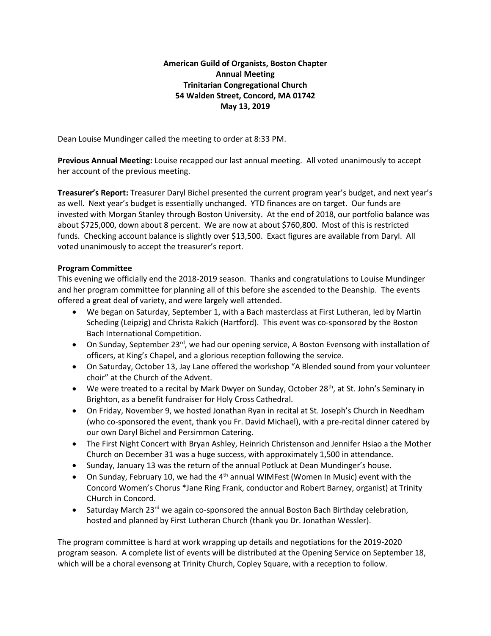# **American Guild of Organists, Boston Chapter Annual Meeting Trinitarian Congregational Church 54 Walden Street, Concord, MA 01742 May 13, 2019**

Dean Louise Mundinger called the meeting to order at 8:33 PM.

**Previous Annual Meeting:** Louise recapped our last annual meeting. All voted unanimously to accept her account of the previous meeting.

**Treasurer's Report:** Treasurer Daryl Bichel presented the current program year's budget, and next year's as well. Next year's budget is essentially unchanged. YTD finances are on target. Our funds are invested with Morgan Stanley through Boston University. At the end of 2018, our portfolio balance was about \$725,000, down about 8 percent. We are now at about \$760,800. Most of this is restricted funds. Checking account balance is slightly over \$13,500. Exact figures are available from Daryl. All voted unanimously to accept the treasurer's report.

## **Program Committee**

This evening we officially end the 2018-2019 season. Thanks and congratulations to Louise Mundinger and her program committee for planning all of this before she ascended to the Deanship. The events offered a great deal of variety, and were largely well attended.

- We began on Saturday, September 1, with a Bach masterclass at First Lutheran, led by Martin Scheding (Leipzig) and Christa Rakich (Hartford). This event was co-sponsored by the Boston Bach International Competition.
- On Sunday, September 23<sup>rd</sup>, we had our opening service, A Boston Evensong with installation of officers, at King's Chapel, and a glorious reception following the service.
- On Saturday, October 13, Jay Lane offered the workshop "A Blended sound from your volunteer choir" at the Church of the Advent.
- We were treated to a recital by Mark Dwyer on Sunday, October 28<sup>th</sup>, at St. John's Seminary in Brighton, as a benefit fundraiser for Holy Cross Cathedral.
- On Friday, November 9, we hosted Jonathan Ryan in recital at St. Joseph's Church in Needham (who co-sponsored the event, thank you Fr. David Michael), with a pre-recital dinner catered by our own Daryl Bichel and Persimmon Catering.
- The First Night Concert with Bryan Ashley, Heinrich Christenson and Jennifer Hsiao a the Mother Church on December 31 was a huge success, with approximately 1,500 in attendance.
- Sunday, January 13 was the return of the annual Potluck at Dean Mundinger's house.
- On Sunday, February 10, we had the  $4<sup>th</sup>$  annual WIMFest (Women In Music) event with the Concord Women's Chorus \*Jane Ring Frank, conductor and Robert Barney, organist) at Trinity CHurch in Concord.
- Saturday March 23<sup>rd</sup> we again co-sponsored the annual Boston Bach Birthday celebration, hosted and planned by First Lutheran Church (thank you Dr. Jonathan Wessler).

The program committee is hard at work wrapping up details and negotiations for the 2019-2020 program season. A complete list of events will be distributed at the Opening Service on September 18, which will be a choral evensong at Trinity Church, Copley Square, with a reception to follow.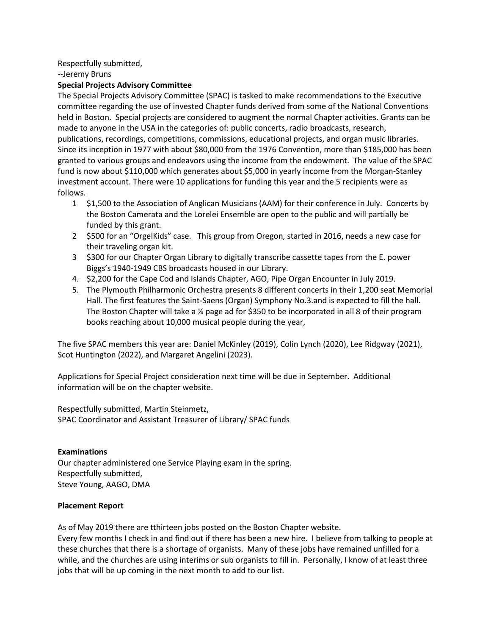## Respectfully submitted,

--Jeremy Bruns

## **Special Projects Advisory Committee**

The Special Projects Advisory Committee (SPAC) is tasked to make recommendations to the Executive committee regarding the use of invested Chapter funds derived from some of the National Conventions held in Boston. Special projects are considered to augment the normal Chapter activities. Grants can be made to anyone in the USA in the categories of: public concerts, radio broadcasts, research, publications, recordings, competitions, commissions, educational projects, and organ music libraries. Since its inception in 1977 with about \$80,000 from the 1976 Convention, more than \$185,000 has been granted to various groups and endeavors using the income from the endowment. The value of the SPAC fund is now about \$110,000 which generates about \$5,000 in yearly income from the Morgan-Stanley investment account. There were 10 applications for funding this year and the 5 recipients were as follows.

- 1 \$1,500 to the Association of Anglican Musicians (AAM) for their conference in July. Concerts by the Boston Camerata and the Lorelei Ensemble are open to the public and will partially be funded by this grant.
- 2 \$500 for an "OrgelKids" case. This group from Oregon, started in 2016, needs a new case for their traveling organ kit.
- 3 \$300 for our Chapter Organ Library to digitally transcribe cassette tapes from the E. power Biggs's 1940-1949 CBS broadcasts housed in our Library.
- 4. \$2,200 for the Cape Cod and Islands Chapter, AGO, Pipe Organ Encounter in July 2019.
- 5. The Plymouth Philharmonic Orchestra presents 8 different concerts in their 1,200 seat Memorial Hall. The first features the Saint-Saens (Organ) Symphony No.3.and is expected to fill the hall. The Boston Chapter will take a  $\frac{1}{4}$  page ad for \$350 to be incorporated in all 8 of their program books reaching about 10,000 musical people during the year,

The five SPAC members this year are: Daniel McKinley (2019), Colin Lynch (2020), Lee Ridgway (2021), Scot Huntington (2022), and Margaret Angelini (2023).

Applications for Special Project consideration next time will be due in September. Additional information will be on the chapter website.

Respectfully submitted, Martin Steinmetz, SPAC Coordinator and Assistant Treasurer of Library/ SPAC funds

# **Examinations**

Our chapter administered one Service Playing exam in the spring. Respectfully submitted, Steve Young, AAGO, DMA

# **Placement Report**

As of May 2019 there are tthirteen jobs posted on the Boston Chapter website.

Every few months I check in and find out if there has been a new hire. I believe from talking to people at these churches that there is a shortage of organists. Many of these jobs have remained unfilled for a while, and the churches are using interims or sub organists to fill in. Personally, I know of at least three jobs that will be up coming in the next month to add to our list.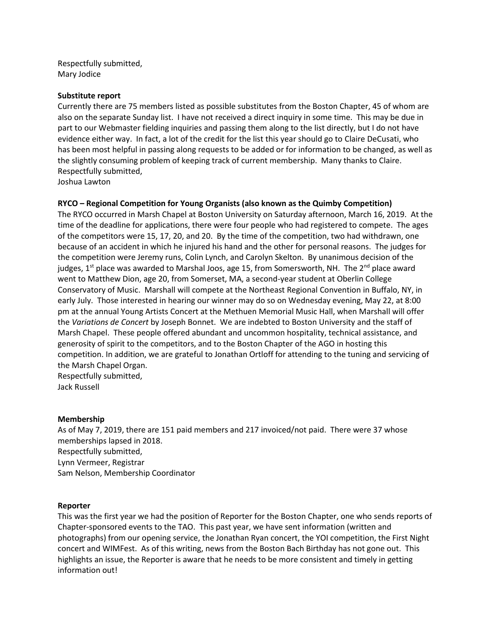Respectfully submitted, Mary Jodice

#### **Substitute report**

Currently there are 75 members listed as possible substitutes from the Boston Chapter, 45 of whom are also on the separate Sunday list. I have not received a direct inquiry in some time. This may be due in part to our Webmaster fielding inquiries and passing them along to the list directly, but I do not have evidence either way. In fact, a lot of the credit for the list this year should go to Claire DeCusati, who has been most helpful in passing along requests to be added or for information to be changed, as well as the slightly consuming problem of keeping track of current membership. Many thanks to Claire. Respectfully submitted,

Joshua Lawton

### **RYCO – Regional Competition for Young Organists (also known as the Quimby Competition)**

The RYCO occurred in Marsh Chapel at Boston University on Saturday afternoon, March 16, 2019. At the time of the deadline for applications, there were four people who had registered to compete. The ages of the competitors were 15, 17, 20, and 20. By the time of the competition, two had withdrawn, one because of an accident in which he injured his hand and the other for personal reasons. The judges for the competition were Jeremy runs, Colin Lynch, and Carolyn Skelton. By unanimous decision of the judges, 1<sup>st</sup> place was awarded to Marshal Joos, age 15, from Somersworth, NH. The 2<sup>nd</sup> place award went to Matthew Dion, age 20, from Somerset, MA, a second-year student at Oberlin College Conservatory of Music. Marshall will compete at the Northeast Regional Convention in Buffalo, NY, in early July. Those interested in hearing our winner may do so on Wednesday evening, May 22, at 8:00 pm at the annual Young Artists Concert at the Methuen Memorial Music Hall, when Marshall will offer the *Variations de Concert* by Joseph Bonnet. We are indebted to Boston University and the staff of Marsh Chapel. These people offered abundant and uncommon hospitality, technical assistance, and generosity of spirit to the competitors, and to the Boston Chapter of the AGO in hosting this competition. In addition, we are grateful to Jonathan Ortloff for attending to the tuning and servicing of the Marsh Chapel Organ.

Respectfully submitted, Jack Russell

### **Membership**

As of May 7, 2019, there are 151 paid members and 217 invoiced/not paid. There were 37 whose memberships lapsed in 2018. Respectfully submitted, Lynn Vermeer, Registrar Sam Nelson, Membership Coordinator

#### **Reporter**

This was the first year we had the position of Reporter for the Boston Chapter, one who sends reports of Chapter-sponsored events to the TAO. This past year, we have sent information (written and photographs) from our opening service, the Jonathan Ryan concert, the YOI competition, the First Night concert and WIMFest. As of this writing, news from the Boston Bach Birthday has not gone out. This highlights an issue, the Reporter is aware that he needs to be more consistent and timely in getting information out!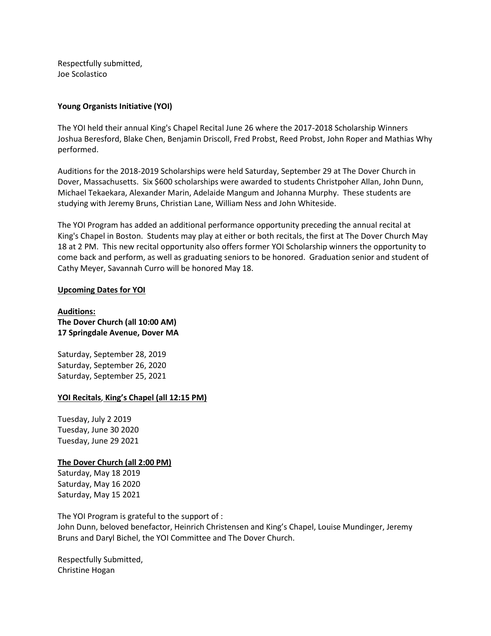Respectfully submitted, Joe Scolastico

### **Young Organists Initiative (YOI)**

The YOI held their annual King's Chapel Recital June 26 where the 2017-2018 Scholarship Winners Joshua Beresford, Blake Chen, Benjamin Driscoll, Fred Probst, Reed Probst, John Roper and Mathias Why performed.

Auditions for the 2018-2019 Scholarships were held Saturday, September 29 at The Dover Church in Dover, Massachusetts. Six \$600 scholarships were awarded to students Christpoher Allan, John Dunn, Michael Tekaekara, Alexander Marin, Adelaide Mangum and Johanna Murphy. These students are studying with Jeremy Bruns, Christian Lane, William Ness and John Whiteside.

The YOI Program has added an additional performance opportunity preceding the annual recital at King's Chapel in Boston. Students may play at either or both recitals, the first at The Dover Church May 18 at 2 PM. This new recital opportunity also offers former YOI Scholarship winners the opportunity to come back and perform, as well as graduating seniors to be honored. Graduation senior and student of Cathy Meyer, Savannah Curro will be honored May 18.

## **Upcoming Dates for YOI**

**Auditions: The Dover Church (all 10:00 AM) 17 Springdale Avenue, Dover MA**

Saturday, September 28, 2019 Saturday, September 26, 2020 Saturday, September 25, 2021

## **YOI Recitals**, **King's Chapel (all 12:15 PM)**

Tuesday, July 2 2019 Tuesday, June 30 2020 Tuesday, June 29 2021

## **The Dover Church (all 2:00 PM)**

Saturday, May 18 2019 Saturday, May 16 2020 Saturday, May 15 2021

The YOI Program is grateful to the support of :

John Dunn, beloved benefactor, Heinrich Christensen and King's Chapel, Louise Mundinger, Jeremy Bruns and Daryl Bichel, the YOI Committee and The Dover Church.

Respectfully Submitted, Christine Hogan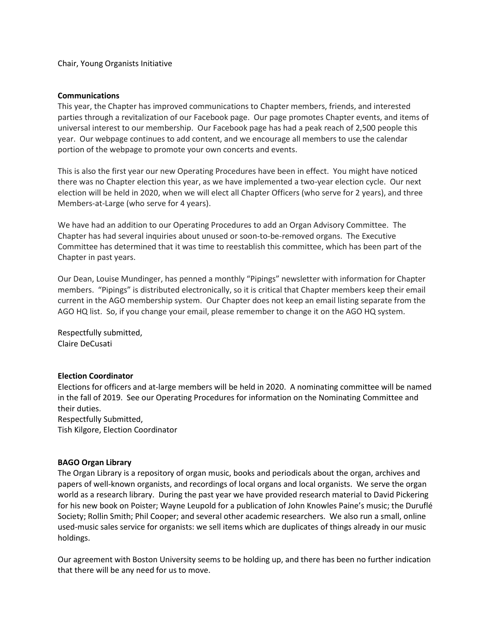Chair, Young Organists Initiative

#### **Communications**

This year, the Chapter has improved communications to Chapter members, friends, and interested parties through a revitalization of our Facebook page. Our page promotes Chapter events, and items of universal interest to our membership. Our Facebook page has had a peak reach of 2,500 people this year. Our webpage continues to add content, and we encourage all members to use the calendar portion of the webpage to promote your own concerts and events.

This is also the first year our new Operating Procedures have been in effect. You might have noticed there was no Chapter election this year, as we have implemented a two-year election cycle. Our next election will be held in 2020, when we will elect all Chapter Officers (who serve for 2 years), and three Members-at-Large (who serve for 4 years).

We have had an addition to our Operating Procedures to add an Organ Advisory Committee. The Chapter has had several inquiries about unused or soon-to-be-removed organs. The Executive Committee has determined that it was time to reestablish this committee, which has been part of the Chapter in past years.

Our Dean, Louise Mundinger, has penned a monthly "Pipings" newsletter with information for Chapter members. "Pipings" is distributed electronically, so it is critical that Chapter members keep their email current in the AGO membership system. Our Chapter does not keep an email listing separate from the AGO HQ list. So, if you change your email, please remember to change it on the AGO HQ system.

Respectfully submitted, Claire DeCusati

### **Election Coordinator**

Elections for officers and at-large members will be held in 2020. A nominating committee will be named in the fall of 2019. See our Operating Procedures for information on the Nominating Committee and their duties. Respectfully Submitted, Tish Kilgore, Election Coordinator

### **BAGO Organ Library**

The Organ Library is a repository of organ music, books and periodicals about the organ, archives and papers of well-known organists, and recordings of local organs and local organists. We serve the organ world as a research library. During the past year we have provided research material to David Pickering for his new book on Poister; Wayne Leupold for a publication of John Knowles Paine's music; the Duruflé Society; Rollin Smith; Phil Cooper; and several other academic researchers. We also run a small, online used-music sales service for organists: we sell items which are duplicates of things already in our music holdings.

Our agreement with Boston University seems to be holding up, and there has been no further indication that there will be any need for us to move.